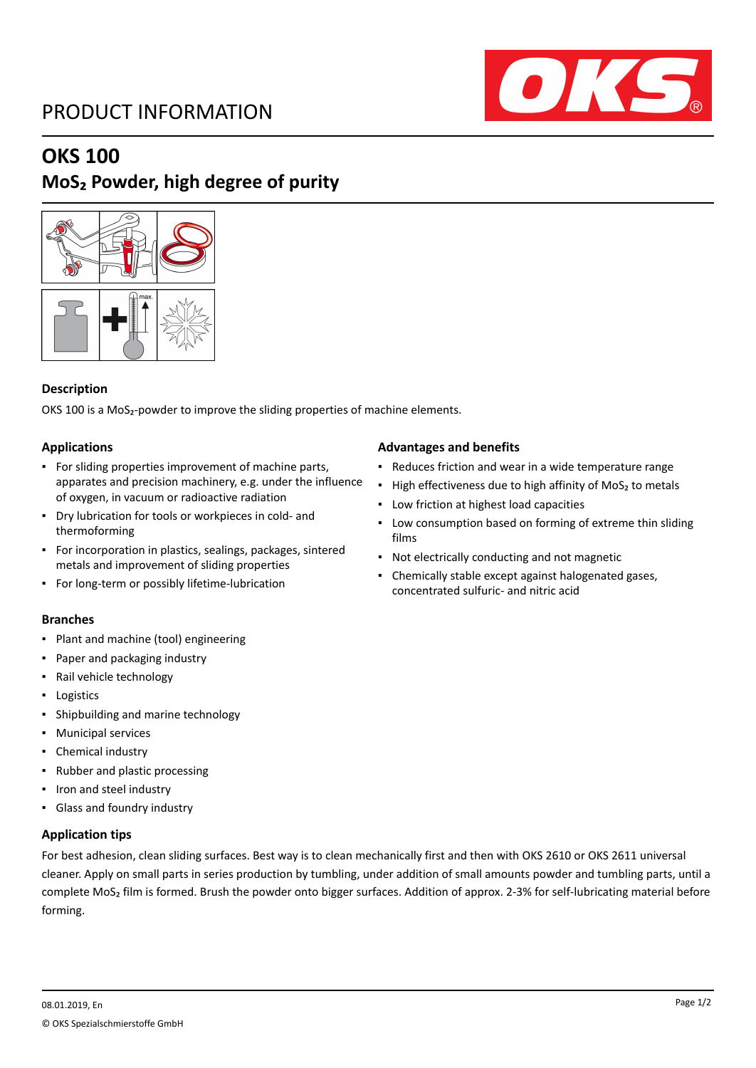# PRODUCT INFORMATION



## **OKS 100**

# **MoS₂ Powder, high degree of purity**



#### **Description**

OKS 100 is a MoS<sub>2</sub>-powder to improve the sliding properties of machine elements.

#### **Applications**

- For sliding properties improvement of machine parts, apparates and precision machinery, e.g. under the influence of oxygen, in vacuum or radioactive radiation
- Dry lubrication for tools or workpieces in cold- and thermoforming
- For incorporation in plastics, sealings, packages, sintered metals and improvement of sliding properties
- For long-term or possibly lifetime-lubrication

#### **Branches**

- Plant and machine (tool) engineering
- Paper and packaging industry
- Rail vehicle technology
- Logistics
- Shipbuilding and marine technology
- Municipal services
- Chemical industry
- Rubber and plastic processing
- Iron and steel industry
- Glass and foundry industry

#### **Application tips**

### For best adhesion, clean sliding surfaces. Best way is to clean mechanically first and then with OKS 2610 or OKS 2611 universal cleaner. Apply on small parts in series production by tumbling, under addition of small amounts powder and tumbling parts, until a complete MoS₂ film is formed. Brush the powder onto bigger surfaces. Addition of approx. 2-3% for self-lubricating material before forming.

#### **Advantages and benefits**

- Reduces friction and wear in a wide temperature range
- High effectiveness due to high affinity of MoS<sub>2</sub> to metals
- Low friction at highest load capacities
- **Low consumption based on forming of extreme thin sliding** films
- Not electrically conducting and not magnetic
- Chemically stable except against halogenated gases, concentrated sulfuric- and nitric acid